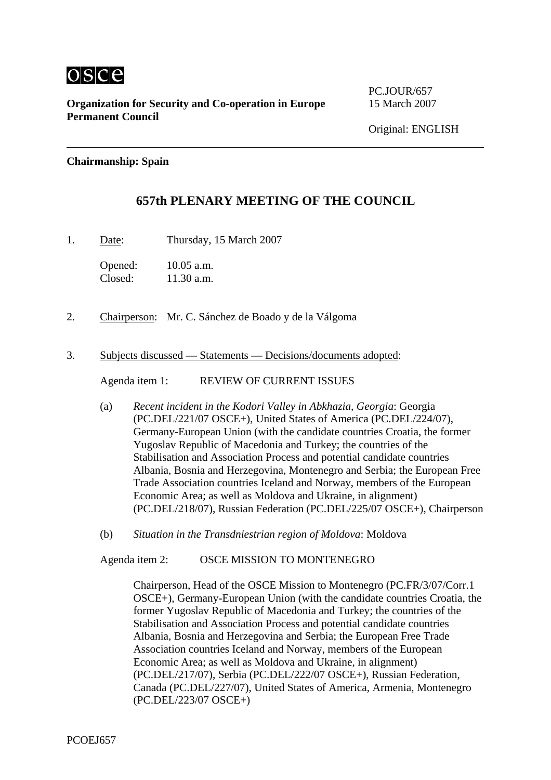

**Organization for Security and Co-operation in Europe** 15 March 2007 **Permanent Council** 

PC.JOUR/657

## **Chairmanship: Spain**

## **657th PLENARY MEETING OF THE COUNCIL**

1. Date: Thursday, 15 March 2007

Opened: 10.05 a.m. Closed: 11.30 a.m.

- 2. Chairperson: Mr. C. Sánchez de Boado y de la Válgoma
- 3. Subjects discussed Statements Decisions/documents adopted:

Agenda item 1: REVIEW OF CURRENT ISSUES

- (a) *Recent incident in the Kodori Valley in Abkhazia, Georgia*: Georgia (PC.DEL/221/07 OSCE+), United States of America (PC.DEL/224/07), Germany-European Union (with the candidate countries Croatia, the former Yugoslav Republic of Macedonia and Turkey; the countries of the Stabilisation and Association Process and potential candidate countries Albania, Bosnia and Herzegovina, Montenegro and Serbia; the European Free Trade Association countries Iceland and Norway, members of the European Economic Area; as well as Moldova and Ukraine, in alignment) (PC.DEL/218/07), Russian Federation (PC.DEL/225/07 OSCE+), Chairperson
- (b) *Situation in the Transdniestrian region of Moldova*: Moldova

Agenda item 2: OSCE MISSION TO MONTENEGRO

Chairperson, Head of the OSCE Mission to Montenegro (PC.FR/3/07/Corr.1 OSCE+), Germany-European Union (with the candidate countries Croatia, the former Yugoslav Republic of Macedonia and Turkey; the countries of the Stabilisation and Association Process and potential candidate countries Albania, Bosnia and Herzegovina and Serbia; the European Free Trade Association countries Iceland and Norway, members of the European Economic Area; as well as Moldova and Ukraine, in alignment) (PC.DEL/217/07), Serbia (PC.DEL/222/07 OSCE+), Russian Federation, Canada (PC.DEL/227/07), United States of America, Armenia, Montenegro (PC.DEL/223/07 OSCE+)